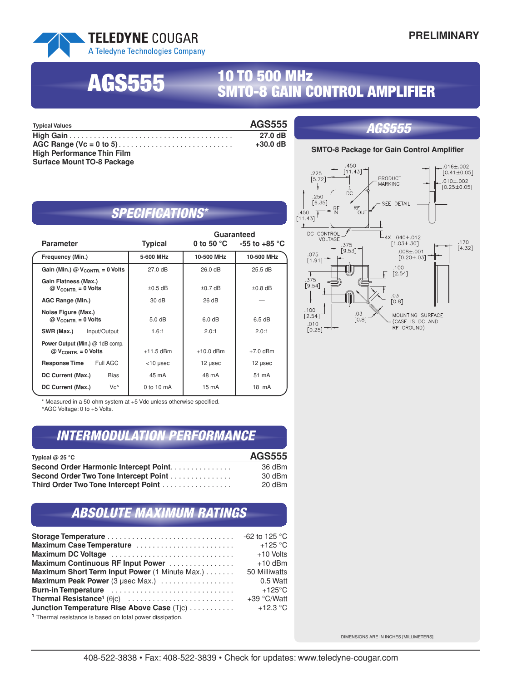#### **TELEDYNE COUGAR** A Teledyne Technologies Company

# **<sup>10</sup> TO <sup>500</sup> MHz AGS555 SMTO-8 GAIN CONTROL AMPLIFIER**

| <b>Typical Values</b>             | <b>AGS555</b> | <i><b>AGS555</b></i>                             |
|-----------------------------------|---------------|--------------------------------------------------|
|                                   | 27.0dB        |                                                  |
|                                   | +30.0 dB      |                                                  |
| <b>High Performance Thin Film</b> |               | <b>SMTO-8 Package for Gain Control Amplifier</b> |
| <b>Surface Mount TO-8 Package</b> |               | .                                                |

# *SPECIFICATIONS\**

| <b>Parameter</b>                                                 | <b>Typical</b>    | Guaranteed      | 0 to 50 °C $-55$ to $+85$ °C |
|------------------------------------------------------------------|-------------------|-----------------|------------------------------|
| Frequency (Min.)                                                 | 5-600 MHz         | 10-500 MHz      | 10-500 MHz                   |
| Gain (Min.) $@V_{\text{CONTR}} = 0$ Volts                        | $27.0 \text{ dB}$ | 26.0 dB         | $25.5 \text{ dB}$            |
| Gain Flatness (Max.)<br>$@V_{\text{CONTR}} = 0$ Volts            | $\pm 0.5$ dB      | $±0.7$ dB       | $\pm 0.8$ dB                 |
| AGC Range (Min.)                                                 | 30 dB             | 26 dB           |                              |
| Noise Figure (Max.)<br>$@V_{\text{CONTR}} = 0$ Volts             | 5.0 dB            | 6.0 dB          | 6.5dB                        |
| Input/Output<br>SWR (Max.)                                       | 1.6:1             | 2.0:1           | 2.0:1                        |
| Power Output (Min.) @ 1dB comp.<br>$@V_{\text{CONTR}} = 0$ Volts | $+11.5$ dBm       | $+10.0$ dBm     | $+7.0$ dBm                   |
| Full AGC<br><b>Response Time</b>                                 | $<$ 10 µsec       | 12 µsec         | $12$ µsec                    |
| DC Current (Max.)<br>Bias                                        | 45 mA             | 48 mA           | 51 mA                        |
| Vc^<br>DC Current (Max.)                                         | 0 to 10 mA        | $15 \text{ mA}$ | 18 mA                        |

\* Measured in a 50-ohm system at +5 Vdc unless otherwise specified.

^AGC Voltage: 0 to +5 Volts.

### *INTERMODULATION PERFORMANCE*

| Typical $@$ 25 °C                      | <b>AGS555</b> |
|----------------------------------------|---------------|
| Second Order Harmonic Intercept Point. | 36 dBm        |
| Second Order Two Tone Intercept Point  | 30 dBm        |
| Third Order Two Tone Intercept Point   | 20 dBm        |

# *ABSOLUTE MAXIMUM RATINGS*

|                                                | -62 to 125 $^{\circ}$ C |
|------------------------------------------------|-------------------------|
| Maximum Case Temperature                       | $+125$ °C               |
| Maximum DC Voltage                             | +10 Volts               |
| Maximum Continuous RF Input Power              | $+10$ dBm               |
| Maximum Short Term Input Power (1 Minute Max.) | 50 Milliwatts           |
| Maximum Peak Power (3 µsec Max.)               | 0.5 Watt                |
| <b>Burn-in Temperature</b>                     | $+125^{\circ}$ C        |
|                                                | $+39 °C/W$ att          |
| Junction Temperature Rise Above Case (Tjc)     | $+12.3 °C$              |
|                                                |                         |

**<sup>1</sup>** Thermal resistance is based on total power dissipation.



DIMENSIONS ARE IN INCHES [MILLIMETERS]